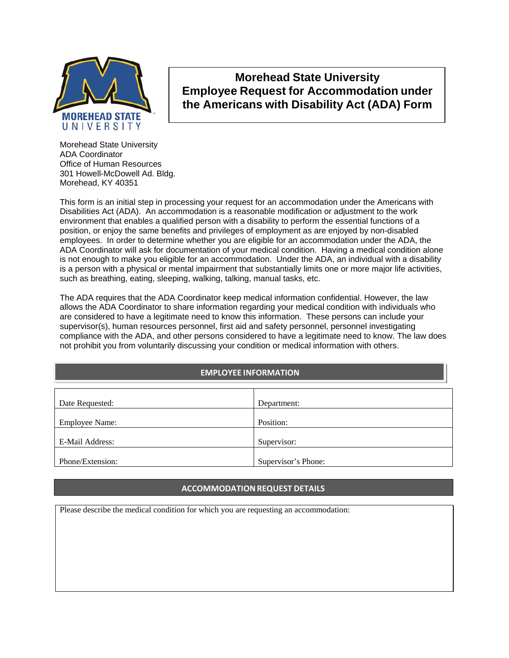

# **Morehead State University Employee Request for Accommodation under the Americans with Disability Act (ADA) Form**

Morehead State University ADA Coordinator Office of Human Resources 301 Howell-McDowell Ad. Bldg. Morehead, KY 40351

This form is an initial step in processing your request for an accommodation under the Americans with Disabilities Act (ADA). An accommodation is a reasonable modification or adjustment to the work environment that enables a qualified person with a disability to perform the essential functions of a position, or enjoy the same benefits and privileges of employment as are enjoyed by non-disabled employees. In order to determine whether you are eligible for an accommodation under the ADA, the ADA Coordinator will ask for documentation of your medical condition. Having a medical condition alone is not enough to make you eligible for an accommodation. Under the ADA, an individual with a disability is a person with a physical or mental impairment that substantially limits one or more major life activities, such as breathing, eating, sleeping, walking, talking, manual tasks, etc.

The ADA requires that the ADA Coordinator keep medical information confidential. However, the law allows the ADA Coordinator to share information regarding your medical condition with individuals who are considered to have a legitimate need to know this information. These persons can include your supervisor(s), human resources personnel, first aid and safety personnel, personnel investigating compliance with the ADA, and other persons considered to have a legitimate need to know. The law does not prohibit you from voluntarily discussing your condition or medical information with others.

# **EMPLOYEE INFORMATION**

| Date Requested:       | Department:         |
|-----------------------|---------------------|
| <b>Employee Name:</b> | Position:           |
| E-Mail Address:       | Supervisor:         |
| Phone/Extension:      | Supervisor's Phone: |

# **ACCOMMODATIONREQUEST DETAILS**

Please describe the medical condition for which you are requesting an accommodation: